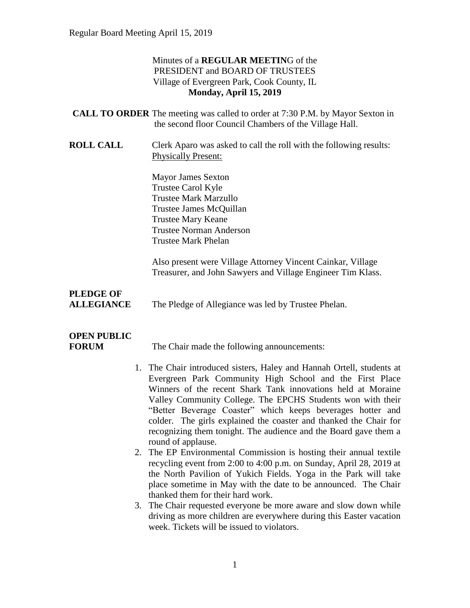#### Minutes of a **REGULAR MEETIN**G of the PRESIDENT and BOARD OF TRUSTEES Village of Evergreen Park, Cook County, IL **Monday, April 15, 2019**

| <b>CALL TO ORDER</b> The meeting was called to order at 7:30 P.M. by Mayor Sexton in |
|--------------------------------------------------------------------------------------|
| the second floor Council Chambers of the Village Hall.                               |

**ROLL CALL** Clerk Aparo was asked to call the roll with the following results: Physically Present:

> Mayor James Sexton Trustee Carol Kyle Trustee Mark Marzullo Trustee James McQuillan Trustee Mary Keane Trustee Norman Anderson Trustee Mark Phelan

Also present were Village Attorney Vincent Cainkar, Village Treasurer, and John Sawyers and Village Engineer Tim Klass.

# **PLEDGE OF**

**ALLEGIANCE** The Pledge of Allegiance was led by Trustee Phelan.

# **OPEN PUBLIC**

**FORUM** The Chair made the following announcements:

- 1. The Chair introduced sisters, Haley and Hannah Ortell, students at Evergreen Park Community High School and the First Place Winners of the recent Shark Tank innovations held at Moraine Valley Community College. The EPCHS Students won with their "Better Beverage Coaster" which keeps beverages hotter and colder. The girls explained the coaster and thanked the Chair for recognizing them tonight. The audience and the Board gave them a round of applause.
- 2. The EP Environmental Commission is hosting their annual textile recycling event from 2:00 to 4:00 p.m. on Sunday, April 28, 2019 at the North Pavilion of Yukich Fields. Yoga in the Park will take place sometime in May with the date to be announced. The Chair thanked them for their hard work.
- 3. The Chair requested everyone be more aware and slow down while driving as more children are everywhere during this Easter vacation week. Tickets will be issued to violators.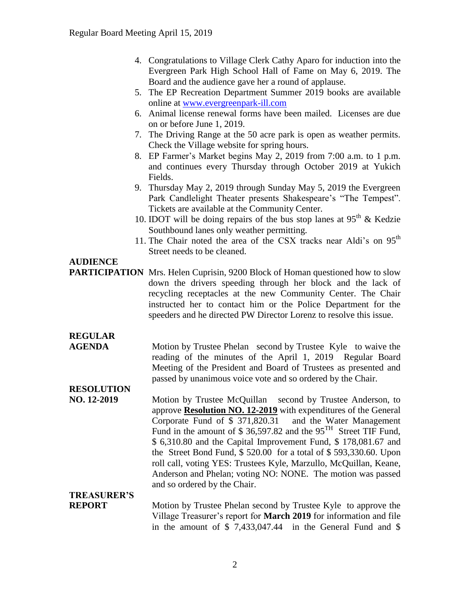- 4. Congratulations to Village Clerk Cathy Aparo for induction into the Evergreen Park High School Hall of Fame on May 6, 2019. The Board and the audience gave her a round of applause.
- 5. The EP Recreation Department Summer 2019 books are available online at [www.evergreenpark-ill.com](http://www.evergreenpark-ill.com/)
- 6. Animal license renewal forms have been mailed. Licenses are due on or before June 1, 2019.
- 7. The Driving Range at the 50 acre park is open as weather permits. Check the Village website for spring hours.
- 8. EP Farmer's Market begins May 2, 2019 from 7:00 a.m. to 1 p.m. and continues every Thursday through October 2019 at Yukich Fields.
- 9. Thursday May 2, 2019 through Sunday May 5, 2019 the Evergreen Park Candlelight Theater presents Shakespeare's "The Tempest". Tickets are available at the Community Center.
- 10. IDOT will be doing repairs of the bus stop lanes at  $95<sup>th</sup>$  & Kedzie Southbound lanes only weather permitting.
- 11. The Chair noted the area of the CSX tracks near Aldi's on  $95<sup>th</sup>$ Street needs to be cleaned.

### **AUDIENCE**

**PARTICIPATION** Mrs. Helen Cuprisin, 9200 Block of Homan questioned how to slow down the drivers speeding through her block and the lack of recycling receptacles at the new Community Center. The Chair instructed her to contact him or the Police Department for the speeders and he directed PW Director Lorenz to resolve this issue.

## **REGULAR**

**AGENDA** Motion by Trustee Phelan second by Trustee Kyle to waive the reading of the minutes of the April 1, 2019 Regular Board Meeting of the President and Board of Trustees as presented and passed by unanimous voice vote and so ordered by the Chair.

## **RESOLUTION**

**NO. 12-2019** Motion by Trustee McQuillan second by Trustee Anderson, to approve **Resolution NO. 12-2019** with expenditures of the General Corporate Fund of \$ 371,820.31 and the Water Management Fund in the amount of  $$36,597.82$  and the  $95<sup>TH</sup>$  Street TIF Fund, \$ 6,310.80 and the Capital Improvement Fund, \$ 178,081.67 and the Street Bond Fund, \$ 520.00 for a total of \$ 593,330.60. Upon roll call, voting YES: Trustees Kyle, Marzullo, McQuillan, Keane, Anderson and Phelan; voting NO: NONE. The motion was passed and so ordered by the Chair.

## **TREASURER'S**

**REPORT** Motion by Trustee Phelan second by Trustee Kyle to approve the Village Treasurer's report for **March 2019** for information and file in the amount of \$ 7,433,047.44 in the General Fund and \$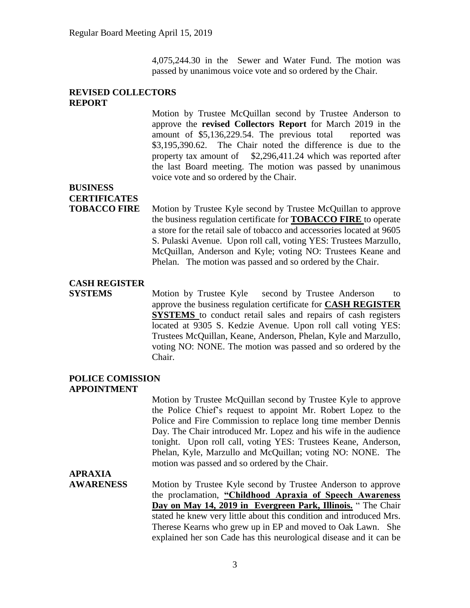4,075,244.30 in the Sewer and Water Fund. The motion was passed by unanimous voice vote and so ordered by the Chair.

#### **REVISED COLLECTORS REPORT**

Motion by Trustee McQuillan second by Trustee Anderson to approve the **revised Collectors Report** for March 2019 in the amount of \$5,136,229.54. The previous total reported was \$3,195,390.62. The Chair noted the difference is due to the property tax amount of \$2,296,411.24 which was reported after the last Board meeting. The motion was passed by unanimous voice vote and so ordered by the Chair.

## **BUSINESS CERTIFICATES**

**TOBACCO FIRE** Motion by Trustee Kyle second by Trustee McQuillan to approve the business regulation certificate for **TOBACCO FIRE** to operate a store for the retail sale of tobacco and accessories located at 9605 S. Pulaski Avenue. Upon roll call, voting YES: Trustees Marzullo, McQuillan, Anderson and Kyle; voting NO: Trustees Keane and Phelan. The motion was passed and so ordered by the Chair.

### **CASH REGISTER**

**SYSTEMS** Motion by Trustee Kyle second by Trustee Anderson to approve the business regulation certificate for **CASH REGISTER SYSTEMS** to conduct retail sales and repairs of cash registers located at 9305 S. Kedzie Avenue. Upon roll call voting YES: Trustees McQuillan, Keane, Anderson, Phelan, Kyle and Marzullo, voting NO: NONE. The motion was passed and so ordered by the Chair.

#### **POLICE COMISSION APPOINTMENT**

Motion by Trustee McQuillan second by Trustee Kyle to approve the Police Chief's request to appoint Mr. Robert Lopez to the Police and Fire Commission to replace long time member Dennis Day. The Chair introduced Mr. Lopez and his wife in the audience tonight. Upon roll call, voting YES: Trustees Keane, Anderson, Phelan, Kyle, Marzullo and McQuillan; voting NO: NONE. The motion was passed and so ordered by the Chair.

## **APRAXIA**

**AWARENESS** Motion by Trustee Kyle second by Trustee Anderson to approve the proclamation, **"Childhood Apraxia of Speech Awareness Day on May 14, 2019 in Evergreen Park, Illinois.** " The Chair stated he knew very little about this condition and introduced Mrs. Therese Kearns who grew up in EP and moved to Oak Lawn. She explained her son Cade has this neurological disease and it can be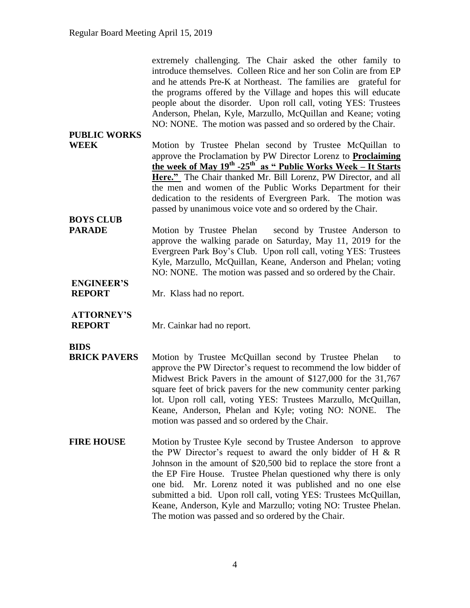extremely challenging. The Chair asked the other family to introduce themselves. Colleen Rice and her son Colin are from EP and he attends Pre-K at Northeast. The families are grateful for the programs offered by the Village and hopes this will educate people about the disorder. Upon roll call, voting YES: Trustees Anderson, Phelan, Kyle, Marzullo, McQuillan and Keane; voting NO: NONE. The motion was passed and so ordered by the Chair. **PUBLIC WORKS WEEK** Motion by Trustee Phelan second by Trustee McQuillan to approve the Proclamation by PW Director Lorenz to **Proclaiming the week of May 19th -25th as " Public Works Week – It Starts Here."** The Chair thanked Mr. Bill Lorenz, PW Director, and all the men and women of the Public Works Department for their dedication to the residents of Evergreen Park. The motion was passed by unanimous voice vote and so ordered by the Chair. **BOYS CLUB PARADE** Motion by Trustee Phelan second by Trustee Anderson to approve the walking parade on Saturday, May 11, 2019 for the Evergreen Park Boy's Club. Upon roll call, voting YES: Trustees Kyle, Marzullo, McQuillan, Keane, Anderson and Phelan; voting

NO: NONE. The motion was passed and so ordered by the Chair.

## **ENGINEER'S**

**REPORT** Mr. Klass had no report.

### **ATTORNEY'S**

**REPORT** Mr. Cainkar had no report.

#### **BIDS**

- **BRICK PAVERS** Motion by Trustee McQuillan second by Trustee Phelan to approve the PW Director's request to recommend the low bidder of Midwest Brick Pavers in the amount of \$127,000 for the 31,767 square feet of brick pavers for the new community center parking lot. Upon roll call, voting YES: Trustees Marzullo, McQuillan, Keane, Anderson, Phelan and Kyle; voting NO: NONE. The motion was passed and so ordered by the Chair.
- **FIRE HOUSE** Motion by Trustee Kyle second by Trustee Anderson to approve the PW Director's request to award the only bidder of H & R Johnson in the amount of \$20,500 bid to replace the store front a the EP Fire House. Trustee Phelan questioned why there is only one bid. Mr. Lorenz noted it was published and no one else submitted a bid. Upon roll call, voting YES: Trustees McQuillan, Keane, Anderson, Kyle and Marzullo; voting NO: Trustee Phelan. The motion was passed and so ordered by the Chair.